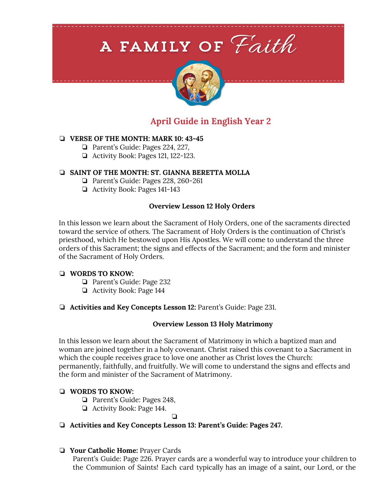# A FAMILY OF Faith



# **April Guide in English Year 2**

# ❏ **VERSE OF THE MONTH: MARK 10: 43-45**

- ❏ Parent's Guide: Pages 224, 227,
- ❏ Activity Book: Pages 121, 122-123.

# ❏ **SAINT OF THE MONTH: ST. GIANNA BERETTA MOLLA**

- ❏ Parent's Guide: Pages 228, 260-261
- ❏ Activity Book: Pages 141-143

# **Overview Lesson 12 Holy Orders**

In this lesson we learn about the Sacrament of Holy Orders, one of the sacraments directed toward the service of others. The Sacrament of Holy Orders is the continuation of Christ's priesthood, which He bestowed upon His Apostles. We will come to understand the three orders of this Sacrament; the signs and effects of the Sacrament; and the form and minister of the Sacrament of Holy Orders.

# ❏ **WORDS TO KNOW:**

- ❏ Parent's Guide: Page 232
- ❏ Activity Book: Page 144
- ❏ **Activities and Key Concepts Lesson 12:** Parent's Guide: Page 231.

# **Overview Lesson 13 Holy Matrimony**

In this lesson we learn about the Sacrament of Matrimony in which a baptized man and woman are joined together in a holy covenant. Christ raised this covenant to a Sacrament in which the couple receives grace to love one another as Christ loves the Church: permanently, faithfully, and fruitfully. We will come to understand the signs and effects and the form and minister of the Sacrament of Matrimony.

# ❏ **WORDS TO KNOW:**

- ❏ Parent's Guide: Pages 248,
- ❏ Activity Book: Page 144.

❏

# ❏ **Activities and Key Concepts Lesson 13: Parent's Guide: Pages 247.**

# ❏ **Your Catholic Home:** Prayer Cards

Parent's Guide: Page 226. Prayer cards are a wonderful way to introduce your children to the Communion of Saints! Each card typically has an image of a saint, our Lord, or the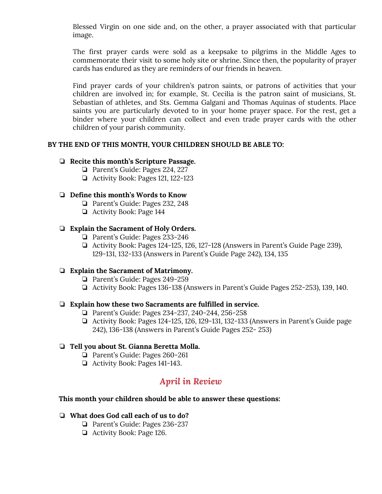Blessed Virgin on one side and, on the other, a prayer associated with that particular image.

The first prayer cards were sold as a keepsake to pilgrims in the Middle Ages to commemorate their visit to some holy site or shrine. Since then, the popularity of prayer cards has endured as they are reminders of our friends in heaven.

Find prayer cards of your children's patron saints, or patrons of activities that your children are involved in; for example, St. Cecilia is the patron saint of musicians, St. Sebastian of athletes, and Sts. Gemma Galgani and Thomas Aquinas of students. Place saints you are particularly devoted to in your home prayer space. For the rest, get a binder where your children can collect and even trade prayer cards with the other children of your parish community.

# **BY THE END OF THIS MONTH, YOUR CHILDREN SHOULD BE ABLE TO:**

#### ❏ **Recite this month's Scripture Passage.**

- ❏ Parent's Guide: Pages 224, 227
- ❏ Activity Book: Pages 121, 122-123

# ❏ **Define this month's Words to Know**

- ❏ Parent's Guide: Pages 232, 248
- ❏ Activity Book: Page 144

#### ❏ **Explain the Sacrament of Holy Orders.**

- ❏ Parent's Guide: Pages 233-246
- ❏ Activity Book: Pages 124-125, 126, 127-128 (Answers in Parent's Guide Page 239), 129-131, 132-133 (Answers in Parent's Guide Page 242), 134, 135

# ❏ **Explain the Sacrament of Matrimony.**

- ❏ Parent's Guide: Pages 249-259
- ❏ Activity Book: Pages 136-138 (Answers in Parent's Guide Pages 252-253), 139, 140.

#### ❏ **Explain how these two Sacraments are fulfilled in service.**

- ❏ Parent's Guide: Pages 234-237, 240-244, 256-258
- ❏ Activity Book: Pages 124-125, 126, 129-131, 132-133 (Answers in Parent's Guide page 242), 136-138 (Answers in Parent's Guide Pages 252- 253)

#### ❏ **Tell you about St. Gianna Beretta Molla.**

- ❏ Parent's Guide: Pages 260-261
- ❏ Activity Book: Pages 141-143.

# *April in Review*

#### **This month your children should be able to answer these questions:**

#### ❏ **What does God call each of us to do?**

- ❏ Parent's Guide: Pages 236-237
- ❏ Activity Book: Page 126.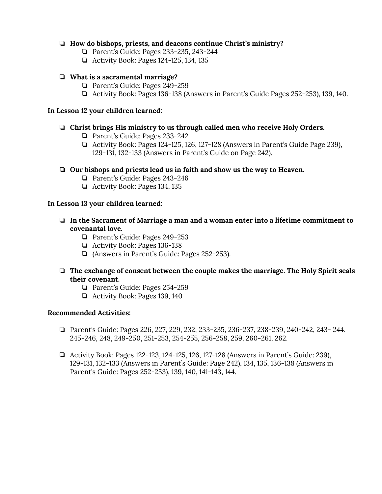# ❏ **How do bishops, priests, and deacons continue Christ's ministry?**

- ❏ Parent's Guide: Pages 233-235, 243-244
- ❏ Activity Book: Pages 124-125, 134, 135

# ❏ **What is a sacramental marriage?**

- ❏ Parent's Guide: Pages 249-259
- ❏ Activity Book: Pages 136-138 (Answers in Parent's Guide Pages 252-253), 139, 140.

# **In Lesson 12 your children learned:**

# ❏ **Christ brings His ministry to us through called men who receive Holy Orders.**

- ❏ Parent's Guide: Pages 233-242
- ❏ Activity Book: Pages 124-125, 126, 127-128 (Answers in Parent's Guide Page 239), 129-131, 132-133 (Answers in Parent's Guide on Page 242).

# ❏ **Our bishops and priests lead us in faith and show us the way to Heaven.**

- ❏ Parent's Guide: Pages 243-246
- ❏ Activity Book: Pages 134, 135

#### **In Lesson 13 your children learned:**

- ❏ **In the Sacrament of Marriage a man and a woman enter into a lifetime commitment to covenantal love.**
	- ❏ Parent's Guide: Pages 249-253
	- ❏ Activity Book: Pages 136-138
	- ❏ (Answers in Parent's Guide: Pages 252-253).

# ❏ **The exchange of consent between the couple makes the marriage. The Holy Spirit seals their covenant.**

- ❏ Parent's Guide: Pages 254-259
- ❏ Activity Book: Pages 139, 140

# **Recommended Activities:**

- ❏ Parent's Guide: Pages 226, 227, 229, 232, 233-235, 236-237, 238-239, 240-242, 243- 244, 245-246, 248, 249-250, 251-253, 254-255, 256-258, 259, 260-261, 262.
- ❏ Activity Book: Pages 122-123, 124-125, 126, 127-128 (Answers in Parent's Guide: 239), 129-131, 132-133 (Answers in Parent's Guide: Page 242), 134, 135, 136-138 (Answers in Parent's Guide: Pages 252-253), 139, 140, 141-143, 144.